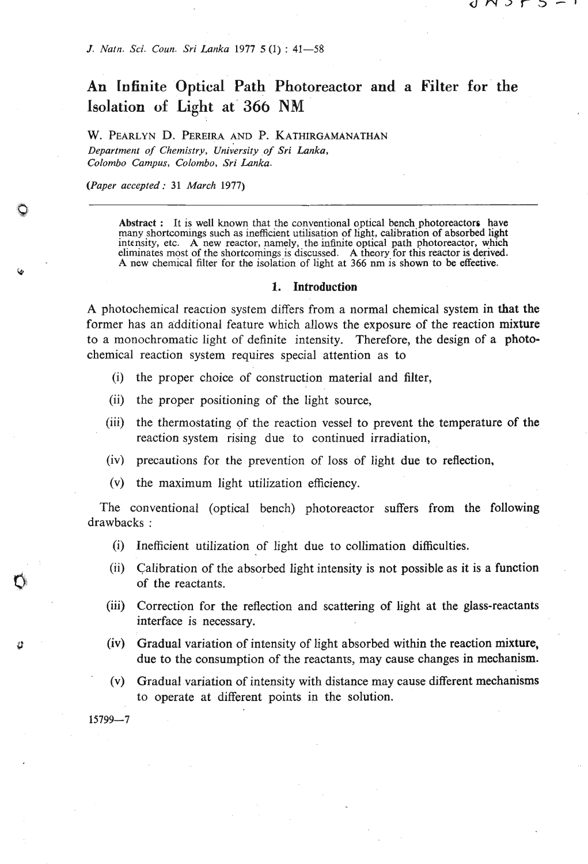## **An Infinite Optical Path Photoreactor and a Filter for the Isolation of Light at 366 NM**

W. PEARLYN D. PEREIRA AND P. KATHIRGAMANATHAN *Department of Chemistry, university of Sri Lmka, Colombo Campus, Colombo, Sri Lanka.* 

*(Paper accepted* : **<sup>31</sup>***March* **1977)** 

**Abstract** : **It is well known that the conventional optical bench photoreactors have**  many shortcomings such as inefficient utilisation of light, calibration of absorbed light intensity, etc. A new reactor, namely, the infinite optical path photoreactor, which eliminates most of the shortcomings is discussed. A theory for this reactor is derived. A new chemical filter for the isolation of light at 366 nm is shown to be effective.

## 1. Introduction

A photochemical reacuon system differs from a normal chemical system in that the former has an additional feature which allows the exposure of the reaction mixture to a monochromatic light of definite intensity. Therefore, the design of a photochemical reaction system requires special attention as to

- (i) the proper choice of construction material and filter,
- (ii) the proper positioning of the light source,
- (iii) the thermostating of the reaction vessel to prevent the temperature of the reaction system rising due to continued irradiation,
- (iv) precautions for the prevention of loss of light due to reflection,
- (v) the maximum light utilization efficiency.

The conventional (optical bench) photoreactor suffers from the following drawbacks :

- (i) Inefficient utilization of light due to collimation difficulties.
- (ii) Calibration of the absorbed light intensity is not possible as it is a function of the reactants.
- (iii) Correction for the reflection and scattering of light at the glass-reactants interface is necessary.
- (iv) Gradual variation of intensity of light absorbed within the reaction mixture, due to the consumption of the reactants, may cause changes in mechanism.
- (v) Gradual variation of intensity with distance may cause different mechanisms to operate at different points in the solution.

 $15799 - 7$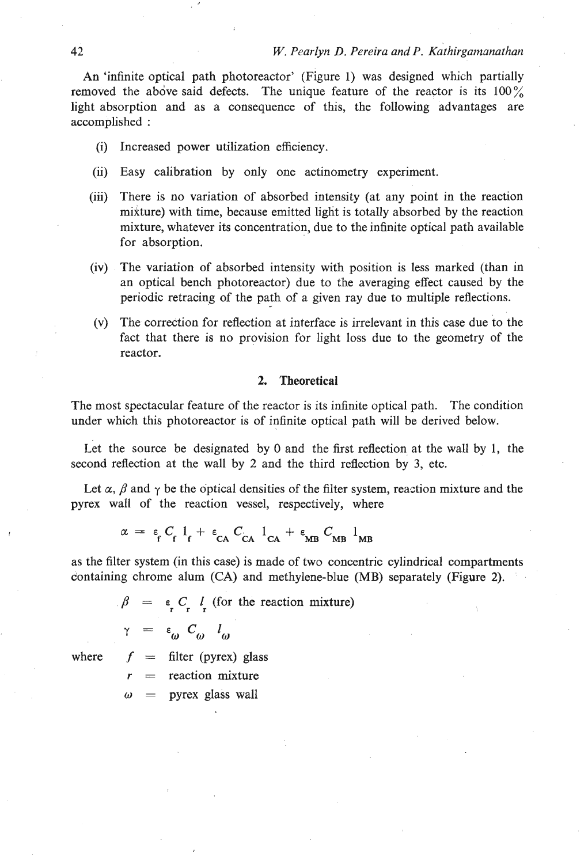An 'infinite optical path photoreactor' (Figure 1) was designed which partially removed the above said defects. The unique feature of the reactor is its  $100\%$ light absorption and as a consequence of this, the following advantages are accomplished :

- (i) Increased power utilization efficiency.
- (ii) Easy calibration by only one actinometry experiment.
- (iii) There is no variation of absorbed intensity (at any point in the reaction mikture) with time, because emitted light is totally absorbed by the reaction mixture, whatever its concentration, due to the infinite optical path available for absorption.
- (iv) The variation of absorbed intensity with position is less marked (than in an optical bench photoreactor) due to the averaging effect caused by the periodic retracing of the path of a given ray due to multiple reflections.
- (v) The correction for reflection at interface is irrelevant in this case due to the fact that there is no provision for light loss due to the geometry of the reactor.

## **2. Theoretical**

The most spectacular feature of the reactor is its infinite optical path. The condition under which this photoreactor is of infinite optical path will be derived below.

Let the source be designated by 0 and the first reflection at the wall by 1, the second reflection at the wall by 2 and the third reflection by 3, etc.

Let  $\alpha$ ,  $\beta$  and  $\gamma$  be the optical densities of the filter system, reaction mixture and the pyrex wall of the reaction vessel, respectively, where

$$
\alpha = \varepsilon_{\text{f}} C_{\text{f}} l_{\text{f}} + \varepsilon_{\text{CA}} C_{\text{CA}} l_{\text{CA}} + \varepsilon_{\text{MB}} C_{\text{MB}} l_{\text{MB}}
$$

as the filter system (in this case) is made of two concentric cylindrical compartments containing chrome alum (CA) and methylene-blue (MB) separately (Figure 2).

 $\beta = \epsilon C \cdot l$  (for the reaction mixture)

$$
\gamma = \varepsilon_{\omega} C_{\omega} l_{\omega}
$$

where  $f =$  filter (pyrex) glass

= reaction mixture

 $\omega$  = pyrex glass wall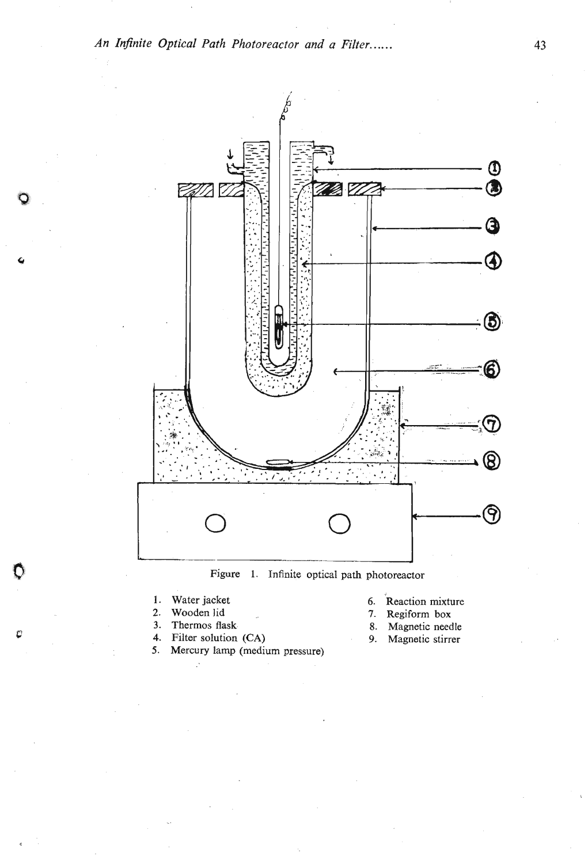

**Figure 1. Infinite optical path photoreactor** 

- 
- 

Ũ

ŀ.

- **3. Thermos flask.** 8. Magnetic needle **4.** Filter solution (CA) **8.** Magnetic stirrer Filter solution (CA) 9. Magnetic stirrer
- **5. Mercury lamp (medium pressure)**
- 1. Water jacket 6. Reaction mixture 2. Wooden lid and the second value of  $\overline{z}$ , Regiform box
	- **2. Wooden lid** a **7. Regiform box**
	-
	-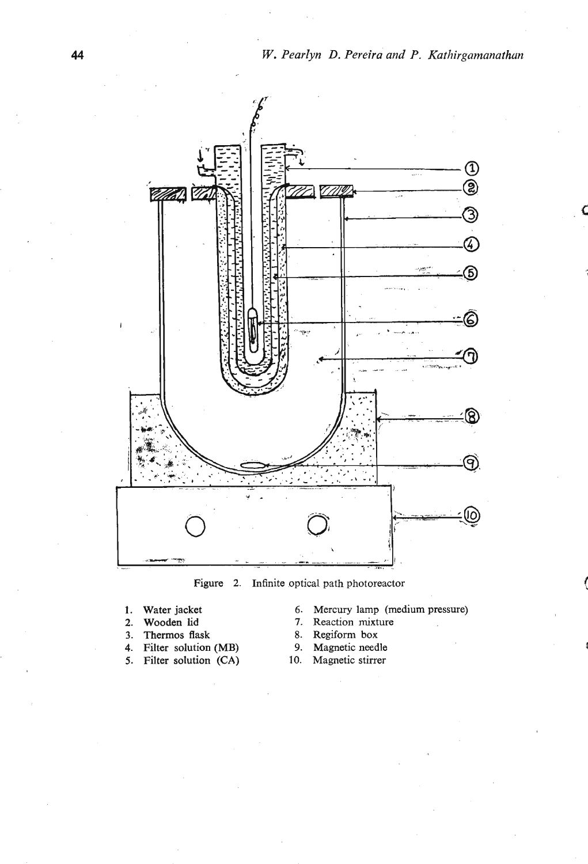

**Figure 2. Infinite optical path photoreactor** 

- 
- 
- 
- **3. Thermos flask 68. Regiform box 4. Filter solution (MB) 9. Magnetic needle**
- **4. Filter solution (MB)** 9. Magnetic needle<br> **5. Filter solution (CA)** 10. Magnetic stirrer 5. Filter solution (CA)
- **1. Water jacket 6. Mercury lamp (medium pressure)** 
	- **2. Reaction mixture 8. Regiform box**
	-
	-
	-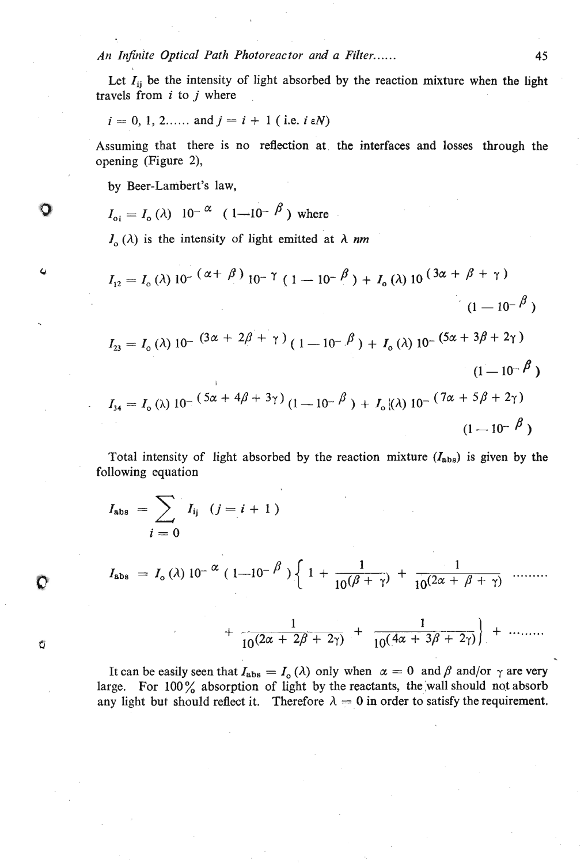*An Injinjte Optical* **Path** *Photoreactor and a Filter..* . . . .

Let  $I_{ii}$  be the intensity of light absorbed by the reaction mixture when the light travels from  $i$  to  $j$  where

$$
i = 0, 1, 2, \ldots
$$
 and  $j = i + 1$  (i.e.  $i \in N$ )

Assuming that there is no reflection at. the interfaces and losses through the opening (Figure *2),* 

by Beer-Lambert's law,

. .

$$
I_{\text{o}i} = I_{\text{o}}(\lambda) \ 10^{-\alpha} \ (1 - 10^{-\beta}) \text{ where}
$$

 $J_0(\lambda)$  is the intensity of light emitted at  $\lambda$  *nm* 

$$
I_{12} = I_o (\lambda) 10^{- (\alpha + \beta)} 10^{- \gamma} (1 - 10^{- \beta}) + I_o (\lambda) 10^{ (\beta \alpha + \beta + \gamma)}
$$
  
\n
$$
I_{23} = I_o (\lambda) 10^{- (\beta \alpha + 2\beta + \gamma)} (1 - 10^{- \beta}) + I_o (\lambda) 10^{- (\beta \alpha + 3\beta + 2\gamma)}
$$
  
\n
$$
I_{34} = I_o (\lambda) 10^{- (\beta \alpha + 4\beta + 3\gamma)} (1 - 10^{- \beta}) + I_o (\lambda) 10^{- (\beta \alpha + 5\beta + 2\gamma)}
$$
  
\n
$$
(1 - 10^{- \beta})
$$
  
\n
$$
(1 - 10^{- \beta})
$$

Total intensity of light absorbed by the reaction mixture *(Isba)* is given by the following equation

$$
I_{\text{abs}} = \sum_{i=0} I_{ij} \quad (j = i + 1)
$$
  

$$
I_{\text{abs}} = I_{o}(\lambda) 10^{-\alpha} (1 - 10^{-\beta}) \left\{ 1 + \frac{1}{10^{(\beta + \gamma)}} + \frac{1}{10^{(2\alpha + \beta + \gamma)}} \dots \right\}
$$

$$
+\frac{1}{10(2\alpha+2\beta+2\gamma)}+\frac{1}{10(4\alpha+3\beta+2\gamma)}\Big|+\cdots
$$

It can be easily seen that  $I_{\text{abs}} = I_o(\lambda)$  only when  $\alpha = 0$  and  $\beta$  and/or  $\gamma$  are very large. For 100% absorption of light by the reactants, the wall should not absorb any light but should reflect it. Therefore  $\lambda = 0$  in order to satisfy the requirement.

Ű

O

 $\overline{a}$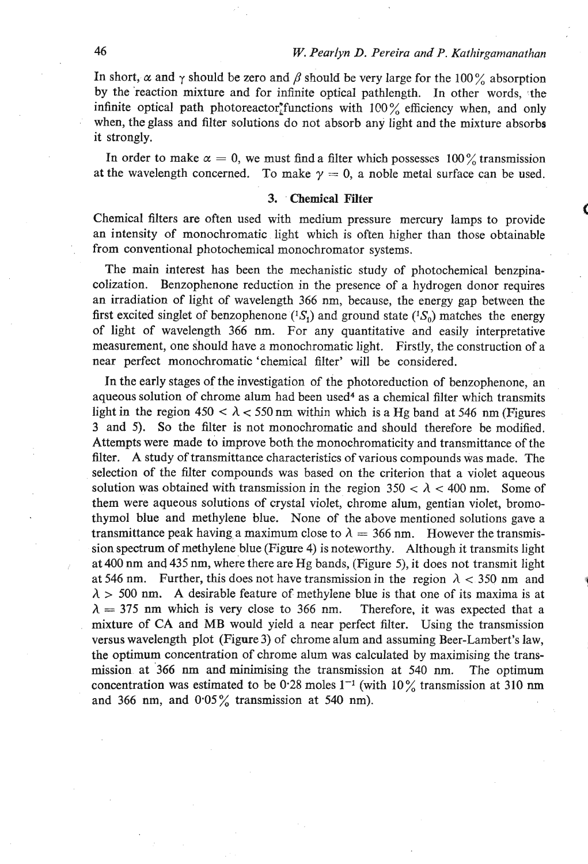In short,  $\alpha$  and  $\gamma$  should be zero and  $\beta$  should be very large for the 100% absorption by the 'reaction mixture and for infinite optical pathlength. In other words, the infinite optical path photoreactor<sup>\*</sup>functions with 100% efficiency when, and only when, the glass and filter solutions do not absorb any light and the mixture absorbs it strongly.

In order to make  $\alpha = 0$ , we must find a filter which possesses 100% transmission at the wavelength concerned. To make  $\gamma = 0$ , a noble metal surface can be used.

## 3. Chemical Filter

Chemical filters are often used with medium pressure mercury lamps to provide an intensity of monochromatic light which is often higher than those obtainable from conventional photochemical monochromator systems.

The main interest has been the mechanistic study of photochemical benzpinacolization. Benzophenone reduction in the presence of a hydrogen donor requires an irradiation of light of wavelength **366** nm, because, the energy gap between the first excited singlet of benzophenone  $(^{1}S_{1})$  and ground state  $(^{1}S_{0})$  matches the energy of light of wavelength **366** nm. For any quantitative and easily interpretative measurement, one should have a monochromatic light. Firstly, the construction of a near perfect monochromatic 'chemical filter' will be considered.

In the early stages of the investigation of the photoreduction of benzophenone, an aqueous solution of chrome alum had been used<sup>4</sup> as a chemical filter which transmits light in the region  $450 < \lambda < 550$  nm within which is a Hg band at 546 nm (Figures **3** and 5). So the filter is not monochromatic and should therefore be modified. Attempts were made to improve both the monochromaticity and transmittance of the filter. A study of transmittance characteristics of various compounds was made. The selection of the filter compounds was based on the criterion that a violet aqueous solution was obtained with transmission in the region  $350 < \lambda < 400$  nm. Some of them were aqueous solutions of crystal violet, chrome alum, gentian violet, bromothymol blue and methylene blue. None of the above mentioned solutions gave a transmittance peak having a maximum close to  $\lambda = 366$  nm. However the transmission spectrum of methylene blue (Figure 4) is noteworthy. Although it transmits light at **400** nm and **435** nm, where there are Hg bands, (Figure **5),** it does not transmit light at 546 nm. Further, this does not have transmission in the region  $\lambda$  < 350 nm and  $\lambda$  > 500 nm. A desirable feature of methylene blue is that one of its maxima is at  $\lambda = 375$  nm which is very close to 366 nm. Therefore, it was expected that a mixture of CA and MB would yield a near perfect filter. Using the transmission versus wavelength plot (Figure 3) of chrome alum and assuming Beer-Lambert's law, the optimum concentration of chrome alum was calculated by maximising the transmission at **366** nm and minimising the transmission at **540** nm. The optimum concentration was estimated to be **0.28** moles **1-I** (with 10% transmission at **310 nm**  and **366** nm, and **0.05%** transmission at **540** nm).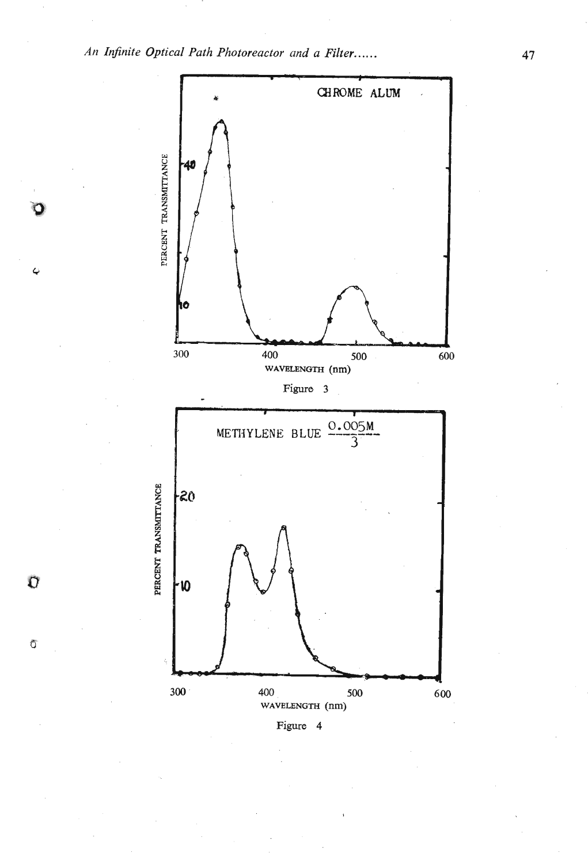

**Figure 4** 

 $\vec{\text{C}}$ 

 $\overline{O}$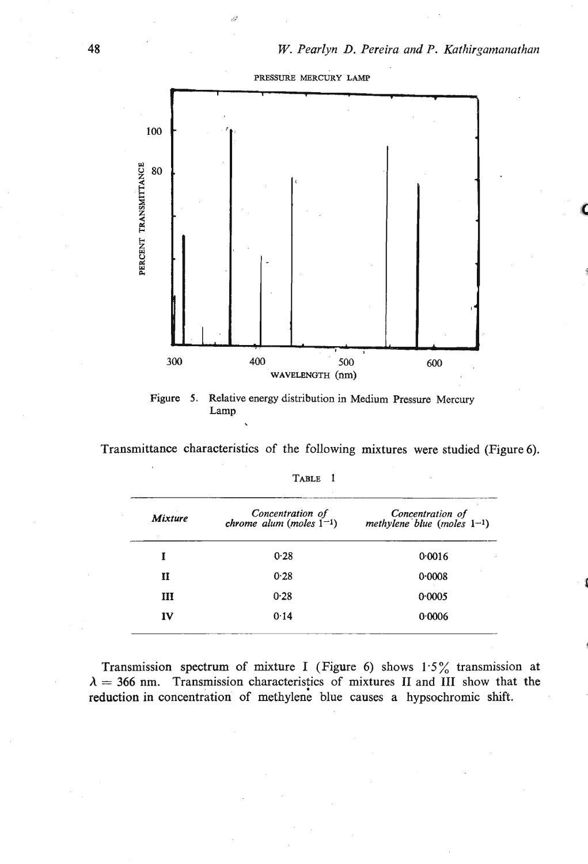

**Figure 5. Relative energy distribution in Medium Pressure Mercury Lamp** 

**Transmittance characteristics of the following mixtures were studied (Figure 6).** 

| <b>Mixture</b> | Concentration of<br>chrome alum (moles $1^{-1}$ ) | Concentration of<br>methylene blue (moles $1-1$ ) |
|----------------|---------------------------------------------------|---------------------------------------------------|
| I              | 0.28                                              | 0.0016                                            |
| п              | 0.28                                              | 0.0008                                            |
| ш              | 0.28                                              | 0.0005                                            |
| IV             | 0.14                                              | 0.0006                                            |

| --<br>× |  |
|---------|--|
|---------|--|

**Transmission spectrum of mixture I (Figure 6) shows 1.5% transmission at**   $\lambda = 366$  nm. Transmission characteristics of mixtures II and III show that the **reduction in concentration of methylene blue causes a hypsochromic shift.**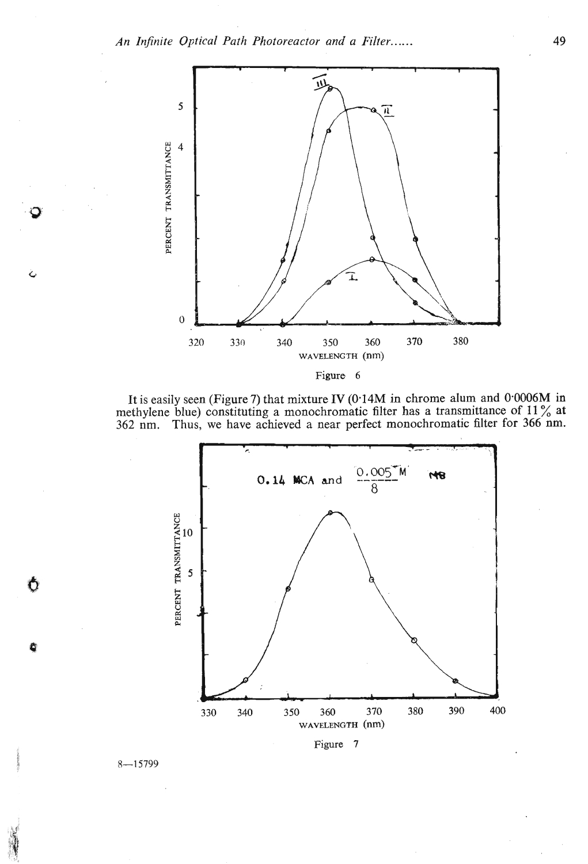

**It is easily seen (Figure 7) that mixture IV (0.14M in chrome alum and 0-0006M in methylene blue) constituting a monochromatic filter has a transmittance of 11** % **at 362 nm. Thus, we have achieved a near perfect monochromatic filter for 366 nm.** 



 $8 - 15799$ 

Ô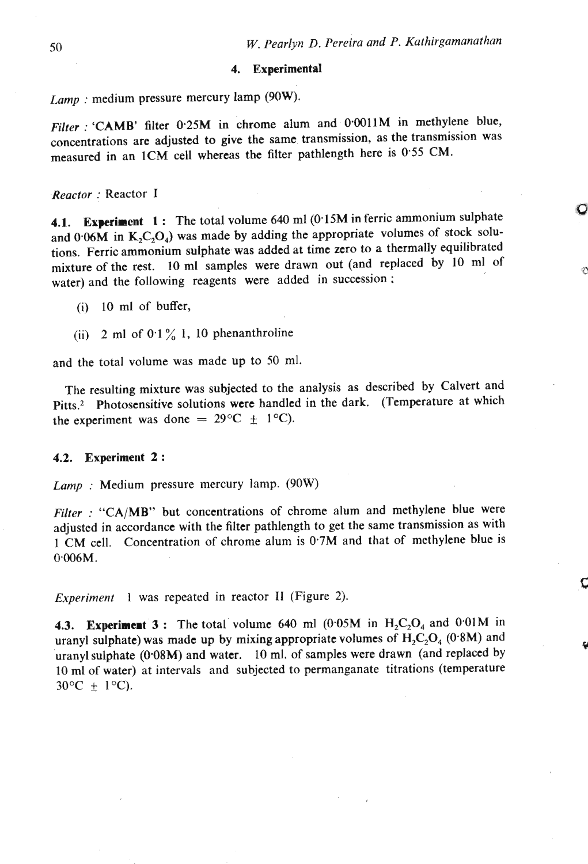$\mathbf C$ 

Ç

## **4. Experimental**

*Lamp* : medium pressure mercury lamp (90W).

*Filter* : 'CAMB' filter **0-25M** in chrome alum and 0.0011M in methylene blue, concentrations are adjusted to give the same transmission, as the transmission was measured in an 1CM cell whereas the filter pathlength here is 0.55 CM.

*Reactor* : Reactor *<sup>I</sup>*

**4.1. Experiment 1:** The total volume 640 ml (0.15M in ferric ammonium sulphate and  $0.06M$  in  $K_2C_2O_4$ ) was made by adding the appropriate volumes of stock solutions. Ferric ammonium sulphate was added at time zero to a thermally equilibrated mixture of the rest. 10 ml samples were drawn out (and replaced by 10 ml of water) and the following reagents were added in succession ;

- (i) 10 ml of buffer,
- (ii)  $2 \text{ ml of } 0.1\%$  1, 10 phenanthroline

and the total volume was made up to 50 **ml.** 

The resulting mixture was subjected to the analysis as described by Calvert and Pitts.<sup>2</sup> Photosensitive solutions were handled in the dark. (Temperature at which the experiment was done =  $29^{\circ}C \pm 1^{\circ}C$ .

### **4.2. Experiment 2** :

*Lamp* : Medium pressure mercury lamp. (90W)

*Filter* : "CA/MB" but concentrations of chrome alum and methylene blue were adjusted in accordance with the filter pathlength to get the same transmission as with 1 CM cell. Concentration of chrome alum is 0.7M and that of methylene blue is  $0.006M$ .

*Experiment* **1** was repeated in reactor **I1** (Figure 2).

**4.3. Experiment 3 :** The total volume 640 ml  $(0.05M)$  in  $H_2C_2O_4$  and 0.01M in uranyl sulphate) was made up by mixing appropriate volumes of  $H_2C_2O_4$  (0.8M) and uranyl sulphate  $(0.08M)$  and water. 10 ml. of samples were drawn (and replaced by 10 ml of water) at intervals and subjected to permanganate titrations (temperature  $30^{\circ}\text{C} \pm 1^{\circ}\text{C}$ .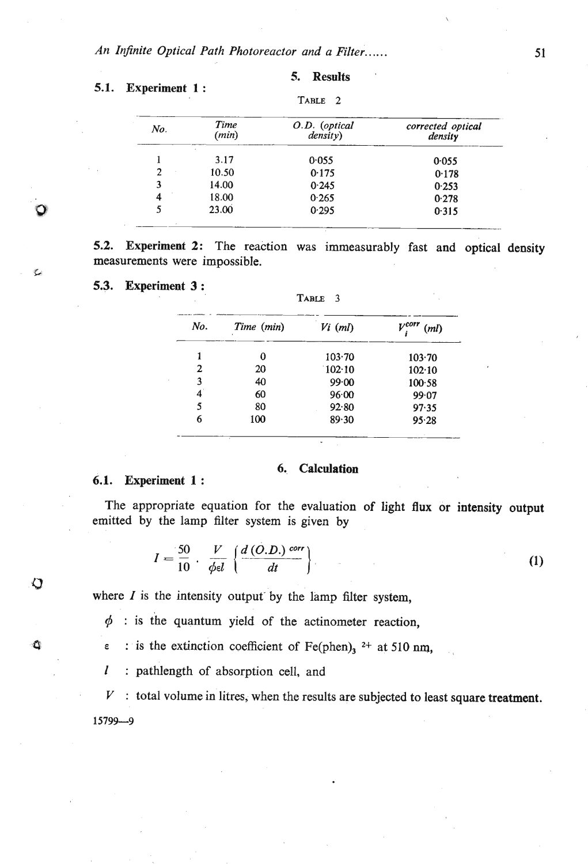| No. | Time<br>(min) | O.D. (optical<br>density) | corrected optical<br>density |
|-----|---------------|---------------------------|------------------------------|
|     | 3.17          | 0.055                     | 0.055                        |
| 2   | 10.50         | 0.175                     | 0.178                        |
| 3   | 14.00         | 0.245                     | 0.253                        |
| 4   | 18.00         | 0.265                     | 0.278                        |
| 5   | 23.00         | 0.295                     | 0.315                        |

## 5.1. Experiment 1 :

**5.** Results

5.2. Experiment 2: The reaction was immeasurably fast and optical density measurements were impossible.

5.3. Experiment 3 :

6.1. Experiment 1 :

**SI** 

О

**0** 

| 18.00<br>23.00          |            | 0.265                                        | 0.278              |  |
|-------------------------|------------|----------------------------------------------|--------------------|--|
|                         |            | 0.295                                        | 0.315              |  |
| were impossible.        |            | nt 2: The reaction was immeasurably fast and |                    |  |
| nt 3 :                  |            | TABLE<br>$\overline{\mathbf{3}}$             |                    |  |
| No.                     | Time (min) | $Vi$ (ml)                                    | $V^{corr}$<br>(ml) |  |
| 1                       | 0          | 103.70                                       | 103.70             |  |
| 2                       | 20         | 102.10                                       | 102.10             |  |
| $\overline{\mathbf{3}}$ | 40         | 99.00                                        | $100 - 58$         |  |
| $\boldsymbol{4}$        | 60         | 96.00                                        | 99.07              |  |
| 5                       | 80         | 92.80                                        | 97.35              |  |
| 6                       | 100        | 89.30                                        | 95.28              |  |
|                         |            |                                              |                    |  |

## **6.. Calcnlation**

The appropriate equation for the evaluation of light flux or intensity output emitted by the lamp **filter** system is given by

$$
I = \frac{50}{10} \cdot \frac{V}{\phi \epsilon l} \left\{ \frac{d\left(O.D.\right)^{corr}}{dt} \right\} \tag{1}
$$

where  $I$  is the intensity output by the lamp filter system,

 $\phi$  : is the quantum yield of the actinometer reaction,

**0** e : is the extinction coefficient of Fe(phen),  $2+$  at 510 nm,

*<sup>1</sup>*: pathlength of absorption cell, and

 $V$ : total volume in litres, when the results are subjected to least square treatment. 15799-9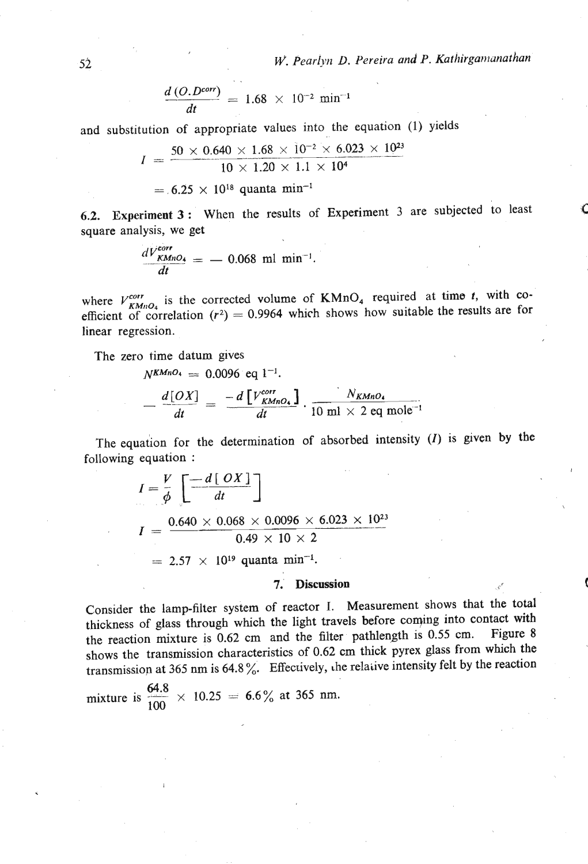*W. Pearlyn D. Pereira and P. Kathirgamanathan* 

$$
\frac{d\,(O.D^{corr})}{dt} = 1.68 \,\times\, 10^{-2} \,\text{min}^{-1}
$$

and substitution of appropriate values into the equation (1) yields

$$
I = \frac{50 \times 0.640 \times 1.68 \times 10^{-2} \times 6.023 \times 10^{23}}{10 \times 1.20 \times 1.1 \times 10^{4}}
$$
  
= 6.25 × 10<sup>18</sup> quanta min<sup>-1</sup>

**6.2.** Experiment 3 : When the results of Experiment 3 are subjected to least **<sup>C</sup>** square analysis, we get

$$
\frac{dV_{KMD4}^{corr}}{dt} = -0.068 \text{ ml } \text{min}^{-1}.
$$

where  $V_{KMD_4}^{corr}$  is the corrected volume of  $KMD_4$  required at time t, with coefficient of correlation  $(r^2) = 0.9964$  which shows how suitable the results are for linear regression.

The zero time datum gives

$$
N^{K M n O_4} = 0.0096 \text{ eq } 1^{-1}.
$$
  

$$
= \frac{d[OX]}{dt} = \frac{-d[V^{corr}_{K M n O_4}]}{dt} \cdot \frac{N_{K M n O_4}}{10 \text{ ml } \times 2 \text{ eq } \text{mole}^{-1}}
$$

The equation for the determination of absorbed intensity  $(I)$  is given by the The equation for the<br>Indian equation :

$$
I = \frac{V}{\phi} \left[ \frac{-d [OX]}{dt} \right]
$$
  
\n
$$
I = \frac{0.640 \times 0.068 \times 0.0096 \times 6.023 \times 10^{23}}{0.49 \times 10 \times 2}
$$
  
\n= 2.57 × 10<sup>19</sup> quanta min<sup>-1</sup>.

# *7.* **<b>Discussion 1. Discussion**

Consider the lamp-filter system of reactor I. Measurement shows that the total thickness of glass through which the light travels before coqing into contact with the reaction mixture is 0.62 cm and the filter pathlength is 0.55 cm. Figure 8 shows the transmission characteristics of 0.62 cm thick pyrex glass from which the transmission at 365 nm is 64.8%. Effectively, the relative intensity felt by the reaction

mixture is  $\frac{64.8}{100} \times 10.25 = 6.6\%$  at 365 nm.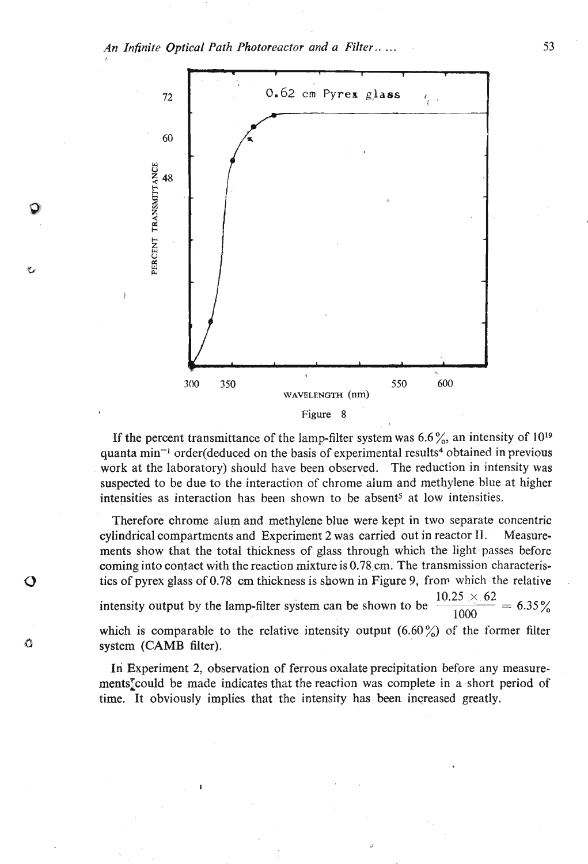*An Infinite Optical Path Photoreactor and* a *Filter* .. . . .



If the percent transmittance of the lamp-filter system was  $6.6\%$ , an intensity of  $10^{19}$ quanta min<sup>-1</sup> order(deduced on the basis of experimental results<sup>4</sup> obtained in previous work at the laboratory) should have been observed. The reduction in intensity was suspected to be due to the interaction of chrome alum and methylene blue at higher intensities as interaction has been shown to be absent<sup>5</sup> at low intensities.

Therefore chrome alum and methylene blue were kept in two separate concentric cylindrical compartments and Experiment 2 was carried out in reactor  $H$ . Measurements show that the total thickness of glass through which the light passes before coming into contact with the reaction mixture is 0.78. cm. The transmission characteristics of pyrex glass of 0.78 cm thickness is shown in Figure 9, frorr which the relative intensity output by the lamp-filter system can be shown to be  $\frac{10.25 \times 62}{1000} = 6.35\%$ which is comparable to the relative intensity output  $(6.60\%)$  of the former filter system (CAMB filter).

Ő

O

In Experiment 2, observation of ferrous oxalate precipitation before any measurements<sup>†</sup>could be made indicates that the reaction was complete in a short period of time. It obviously implies that the intensity has been increased greatly.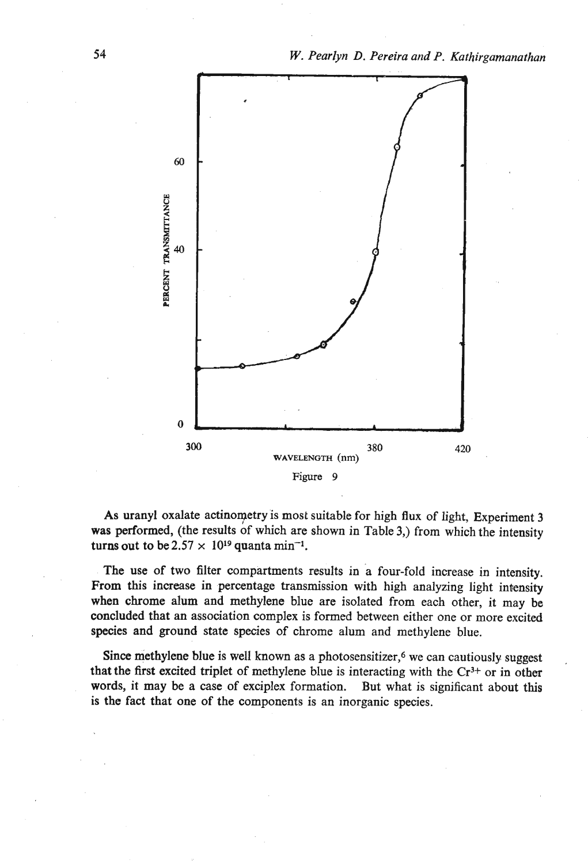

As uranyl oxalate actinometry is most suitable for high flux of light, Experiment 3 **was** performed, (the results of which are shown in Table 3,) from which the intensity turns out to be  $2.57 \times 10^{19}$  quanta min<sup>-1</sup>.

The use of two filter compartments results in a four-fold increase in intensity. From this increase in percentage transmission with high analyzing light intensity when chrome alum and methylene blue are isolated from each other, it may be concluded that an association complex is fonned between either one or more excited species and ground state species of chrome alum and methylene blue.

Since methylene blue is well known as a photosensitizer,<sup>6</sup> we can cautiously suggest that the first excited triplet of methylene blue is interacting with the  $Cr<sup>3+</sup>$  or in other words, it may be a case of exciplex formation. But what is significant about this is the fact that one of the components is an inorganic species.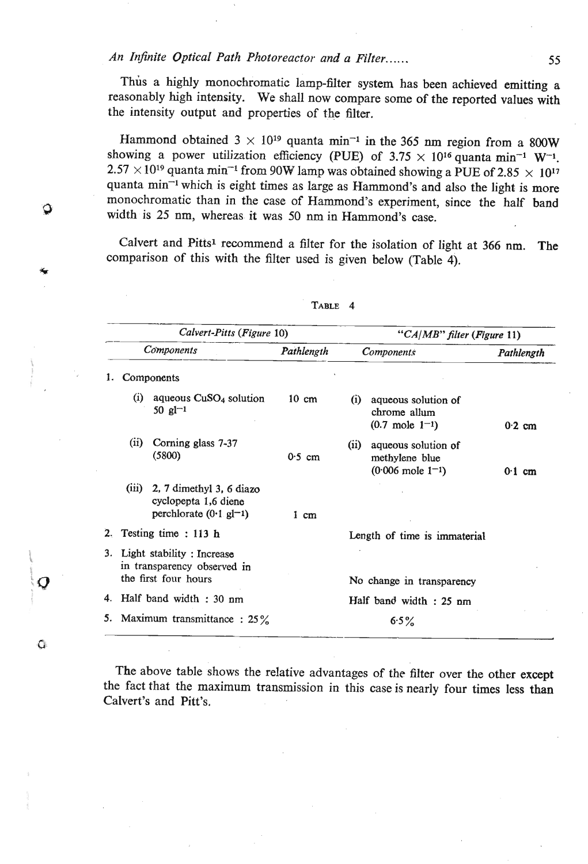## *An InJnite Optical Path Photoreactor and a Filter..* .. . . **<sup>55</sup>**

Thus a highly monochromatic lamp-filter system has been achieved emitting a reasonably high intensity. We shall now compare some of the reported values with the intensity output and properties of the filter.

Hammond obtained  $3 \times 10^{19}$  quanta min<sup>-1</sup> in the 365 nm region from a 800W showing a power utilization efficiency (PUE) of  $3.75 \times 10^{16}$  quanta min<sup>-1</sup> W<sup>-1</sup>.  $2.57 \times 10^{19}$  quanta min<sup>-1</sup> from 90W lamp was obtained showing a PUE of 2.85  $\times$  10<sup>17</sup> quanta min-I which is eight times as large as Harnmond's and also the light is more monochromatic than in the case of Hammond's experiment, since the half band **a** width is **25** nm, whereas it was 50 nm in Hammond's case.

> Calvert and Pitts<sup>1</sup> recommend a filter for the isolation of light at 366 nm. The comparison of this with the filter used is given below (Table 4).

| Calvert-Pitts (Figure 10)                                                                        |                 | "CA/MB" filter (Figure 11)                                                      |                  |
|--------------------------------------------------------------------------------------------------|-----------------|---------------------------------------------------------------------------------|------------------|
| Components                                                                                       | Pathlength      | <b>Components</b>                                                               | Pathlength       |
| Components<br>1.                                                                                 |                 |                                                                                 |                  |
| aqueous $CuSO4$ solution<br>$\rm (i)$<br>50 $gl^{-1}$                                            | $10 \text{ cm}$ | (i)<br>aqueous solution of<br>chrome allum<br>$(0.7 \text{ mole } 1^{-1})$      | $0.2$ cm         |
| Corning glass 7-37<br>(i)<br>(5800)                                                              | $0.5$ cm        | (ii)<br>aqueous solution of<br>methylene blue<br>$(0.006 \text{ mole } 1^{-1})$ | $0.1 \text{ cm}$ |
| (iii)<br>2, 7 dimethyl 3, 6 diazo<br>cyclopepta 1,6 diene<br>perchlorate $(0.1 \text{ g}l^{-1})$ | $1 \text{ cm}$  |                                                                                 |                  |
| Testing time: 113 h<br>2.                                                                        |                 | Length of time is immaterial                                                    |                  |
| 3. Light stability: Increase<br>in transparency observed in<br>the first four hours              |                 | No change in transparency                                                       |                  |
| Half band width: 30 nm<br>4.                                                                     |                 | Half band width : 25 nm                                                         |                  |
| Maximum transmittance: $25\%$<br>5.                                                              |                 | 6.5%                                                                            |                  |

TABLE 4

The above table shows the relative advantages of the filter over the other except the fact that the maximum transmission in this case is nearly four times less than Calvert's and Pitt's.

 $\mathbf C$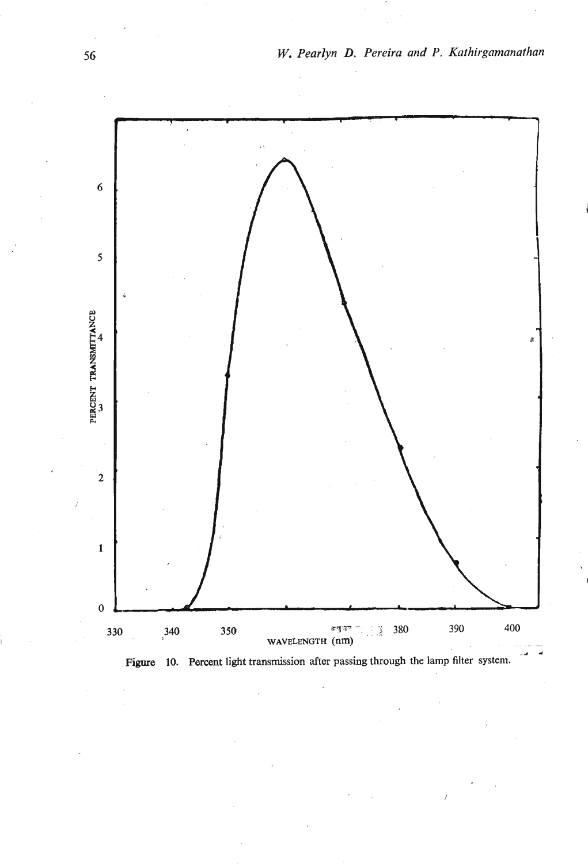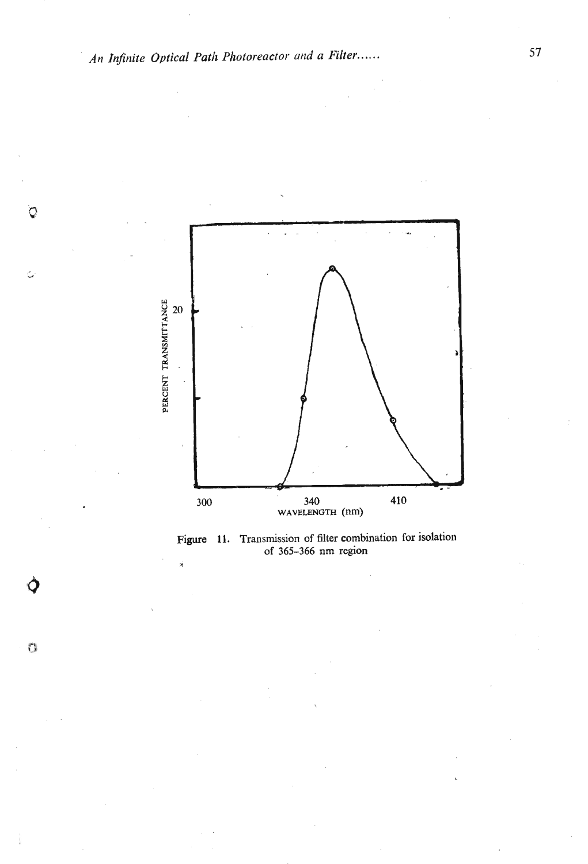O

 $\zeta$ 

 $\mathcal{O}$ 



**Figure 11. Transmission of filter combination for isolation of 365-366 nm region** \*